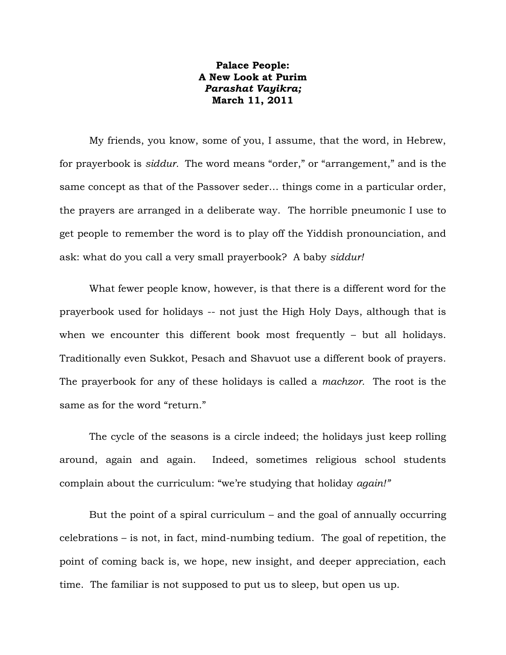## **Palace People: A New Look at Purim** *Parashat Vayikra;* **March 11, 2011**

My friends, you know, some of you, I assume, that the word, in Hebrew, for prayerbook is *siddur.* The word means "order," or "arrangement," and is the same concept as that of the Passover seder… things come in a particular order, the prayers are arranged in a deliberate way. The horrible pneumonic I use to get people to remember the word is to play off the Yiddish pronounciation, and ask: what do you call a very small prayerbook? A baby *siddur!*

What fewer people know, however, is that there is a different word for the prayerbook used for holidays -- not just the High Holy Days, although that is when we encounter this different book most frequently – but all holidays. Traditionally even Sukkot, Pesach and Shavuot use a different book of prayers. The prayerbook for any of these holidays is called a *machzor.* The root is the same as for the word "return."

The cycle of the seasons is a circle indeed; the holidays just keep rolling around, again and again. Indeed, sometimes religious school students complain about the curriculum: "we're studying that holiday *again!"*

But the point of a spiral curriculum – and the goal of annually occurring celebrations – is not, in fact, mind-numbing tedium. The goal of repetition, the point of coming back is, we hope, new insight, and deeper appreciation, each time. The familiar is not supposed to put us to sleep, but open us up.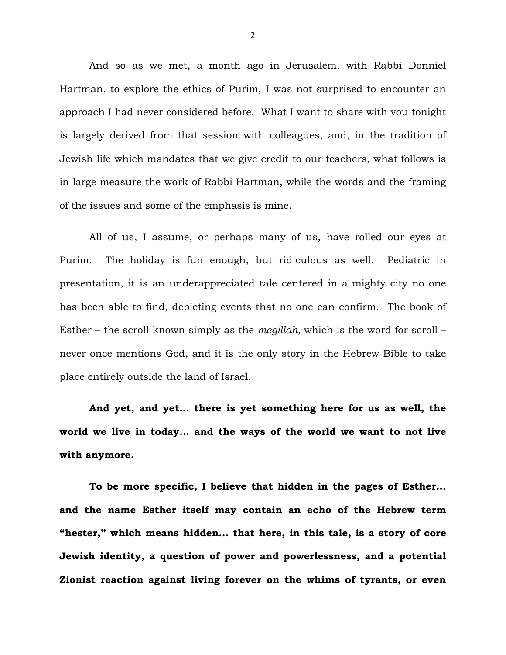And so as we met, a month ago in Jerusalem, with Rabbi Donniel Hartman, to explore the ethics of Purim, I was not surprised to encounter an approach I had never considered before. What I want to share with you tonight is largely derived from that session with colleagues, and, in the tradition of Jewish life which mandates that we give credit to our teachers, what follows is in large measure the work of Rabbi Hartman, while the words and the framing of the issues and some of the emphasis is mine.

All of us, I assume, or perhaps many of us, have rolled our eyes at Purim. The holiday is fun enough, but ridiculous as well. Pediatric in presentation, it is an underappreciated tale centered in a mighty city no one has been able to find, depicting events that no one can confirm. The book of Esther – the scroll known simply as the *megillah,* which is the word for scroll – never once mentions God, and it is the only story in the Hebrew Bible to take place entirely outside the land of Israel.

**And yet, and yet… there is yet something here for us as well, the world we live in today… and the ways of the world we want to not live with anymore.**

**To be more specific, I believe that hidden in the pages of Esther… and the name Esther itself may contain an echo of the Hebrew term "hester," which means hidden… that here, in this tale, is a story of core Jewish identity, a question of power and powerlessness, and a potential Zionist reaction against living forever on the whims of tyrants, or even**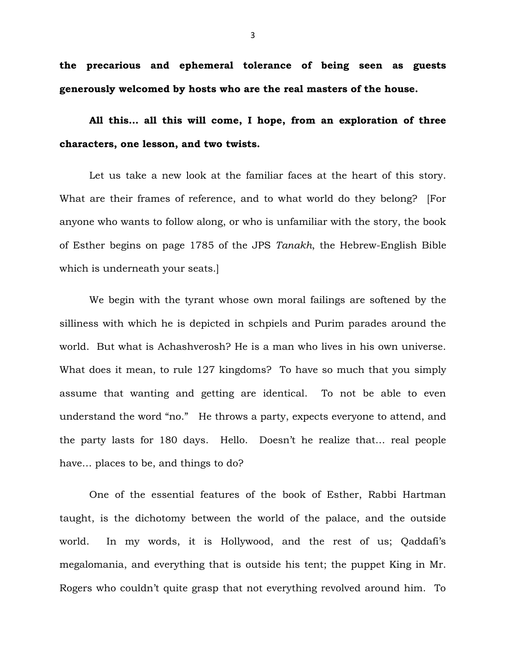**the precarious and ephemeral tolerance of being seen as guests generously welcomed by hosts who are the real masters of the house.** 

**All this… all this will come, I hope, from an exploration of three characters, one lesson, and two twists.**

Let us take a new look at the familiar faces at the heart of this story. What are their frames of reference, and to what world do they belong? [For anyone who wants to follow along, or who is unfamiliar with the story, the book of Esther begins on page 1785 of the JPS *Tanakh*, the Hebrew-English Bible which is underneath your seats.]

We begin with the tyrant whose own moral failings are softened by the silliness with which he is depicted in schpiels and Purim parades around the world. But what is Achashverosh? He is a man who lives in his own universe. What does it mean, to rule 127 kingdoms? To have so much that you simply assume that wanting and getting are identical. To not be able to even understand the word "no." He throws a party, expects everyone to attend, and the party lasts for 180 days. Hello. Doesn't he realize that… real people have… places to be, and things to do?

One of the essential features of the book of Esther, Rabbi Hartman taught, is the dichotomy between the world of the palace, and the outside world. In my words, it is Hollywood, and the rest of us; Qaddafi's megalomania, and everything that is outside his tent; the puppet King in Mr. Rogers who couldn't quite grasp that not everything revolved around him. To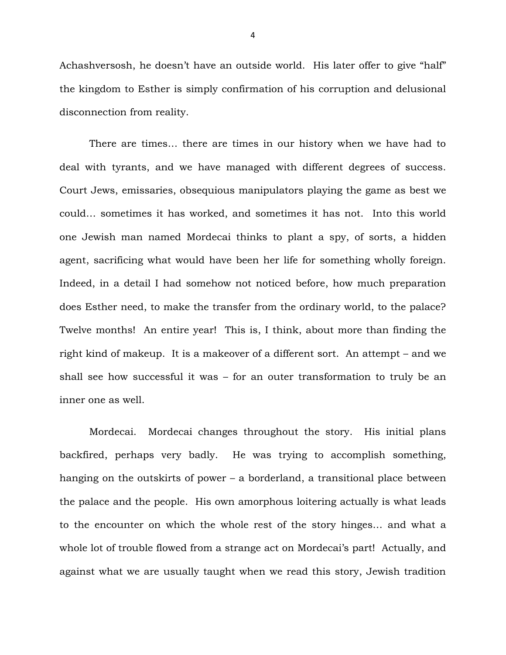Achashversosh, he doesn't have an outside world. His later offer to give "half" the kingdom to Esther is simply confirmation of his corruption and delusional disconnection from reality.

There are times… there are times in our history when we have had to deal with tyrants, and we have managed with different degrees of success. Court Jews, emissaries, obsequious manipulators playing the game as best we could… sometimes it has worked, and sometimes it has not. Into this world one Jewish man named Mordecai thinks to plant a spy, of sorts, a hidden agent, sacrificing what would have been her life for something wholly foreign. Indeed, in a detail I had somehow not noticed before, how much preparation does Esther need, to make the transfer from the ordinary world, to the palace? Twelve months! An entire year! This is, I think, about more than finding the right kind of makeup. It is a makeover of a different sort. An attempt – and we shall see how successful it was – for an outer transformation to truly be an inner one as well.

Mordecai. Mordecai changes throughout the story. His initial plans backfired, perhaps very badly. He was trying to accomplish something, hanging on the outskirts of power – a borderland, a transitional place between the palace and the people. His own amorphous loitering actually is what leads to the encounter on which the whole rest of the story hinges… and what a whole lot of trouble flowed from a strange act on Mordecai's part! Actually, and against what we are usually taught when we read this story, Jewish tradition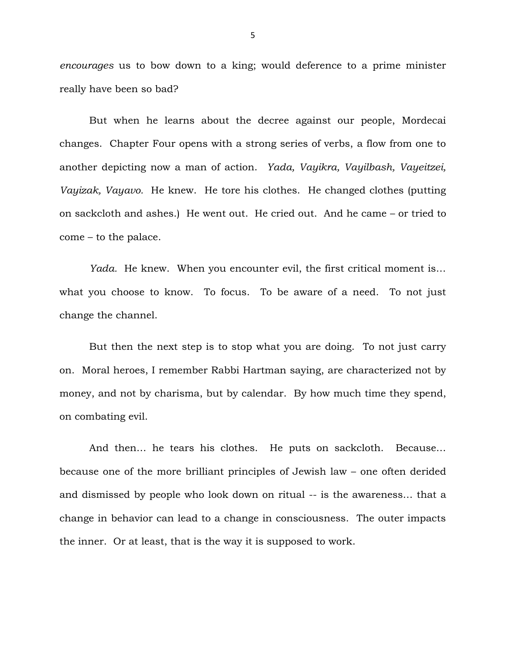*encourages* us to bow down to a king; would deference to a prime minister really have been so bad?

But when he learns about the decree against our people, Mordecai changes. Chapter Four opens with a strong series of verbs, a flow from one to another depicting now a man of action. *Yada, Vayikra, Vayilbash, Vayeitzei, Vayizak, Vayavo.* He knew. He tore his clothes. He changed clothes (putting on sackcloth and ashes.) He went out. He cried out. And he came – or tried to come – to the palace.

*Yada.* He knew. When you encounter evil, the first critical moment is… what you choose to know. To focus. To be aware of a need. To not just change the channel.

But then the next step is to stop what you are doing. To not just carry on. Moral heroes, I remember Rabbi Hartman saying, are characterized not by money, and not by charisma, but by calendar. By how much time they spend, on combating evil.

And then… he tears his clothes. He puts on sackcloth. Because… because one of the more brilliant principles of Jewish law – one often derided and dismissed by people who look down on ritual -- is the awareness… that a change in behavior can lead to a change in consciousness. The outer impacts the inner. Or at least, that is the way it is supposed to work.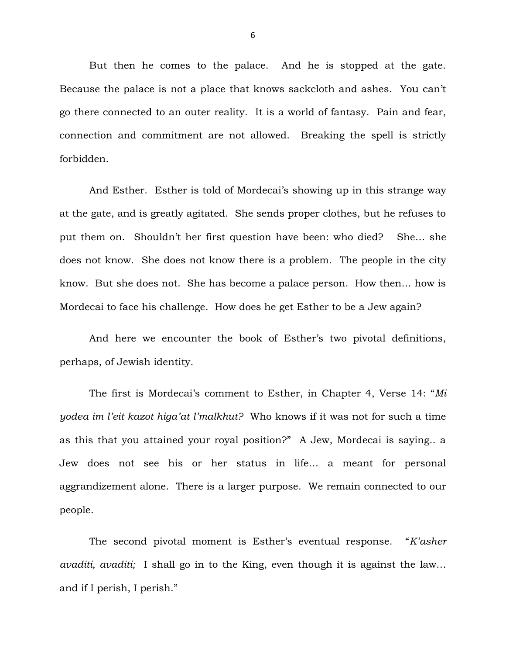But then he comes to the palace. And he is stopped at the gate. Because the palace is not a place that knows sackcloth and ashes. You can't go there connected to an outer reality. It is a world of fantasy. Pain and fear, connection and commitment are not allowed. Breaking the spell is strictly forbidden.

And Esther. Esther is told of Mordecai's showing up in this strange way at the gate, and is greatly agitated. She sends proper clothes, but he refuses to put them on. Shouldn't her first question have been: who died? She… she does not know. She does not know there is a problem. The people in the city know. But she does not. She has become a palace person. How then… how is Mordecai to face his challenge. How does he get Esther to be a Jew again?

And here we encounter the book of Esther's two pivotal definitions, perhaps, of Jewish identity.

The first is Mordecai's comment to Esther, in Chapter 4, Verse 14: "*Mi yodea im l'eit kazot higa'at l'malkhut?* Who knows if it was not for such a time as this that you attained your royal position?" A Jew, Mordecai is saying.. a Jew does not see his or her status in life… a meant for personal aggrandizement alone. There is a larger purpose. We remain connected to our people.

The second pivotal moment is Esther's eventual response. "*K'asher avaditi, avaditi;* I shall go in to the King, even though it is against the law… and if I perish, I perish."

6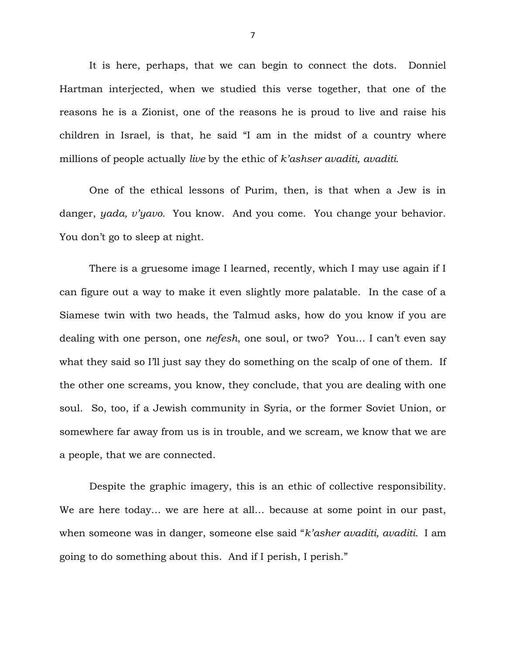It is here, perhaps, that we can begin to connect the dots. Donniel Hartman interjected, when we studied this verse together, that one of the reasons he is a Zionist, one of the reasons he is proud to live and raise his children in Israel, is that, he said "I am in the midst of a country where millions of people actually *live* by the ethic of *k'ashser avaditi, avaditi.*

One of the ethical lessons of Purim, then, is that when a Jew is in danger, *yada, v'yavo.* You know. And you come. You change your behavior. You don't go to sleep at night.

There is a gruesome image I learned, recently, which I may use again if I can figure out a way to make it even slightly more palatable. In the case of a Siamese twin with two heads, the Talmud asks, how do you know if you are dealing with one person, one *nefesh*, one soul, or two? You… I can't even say what they said so I'll just say they do something on the scalp of one of them. If the other one screams, you know, they conclude, that you are dealing with one soul. So, too, if a Jewish community in Syria, or the former Soviet Union, or somewhere far away from us is in trouble, and we scream, we know that we are a people, that we are connected.

Despite the graphic imagery, this is an ethic of collective responsibility. We are here today… we are here at all… because at some point in our past, when someone was in danger, someone else said "*k'asher avaditi, avaditi.* I am going to do something about this. And if I perish, I perish."

7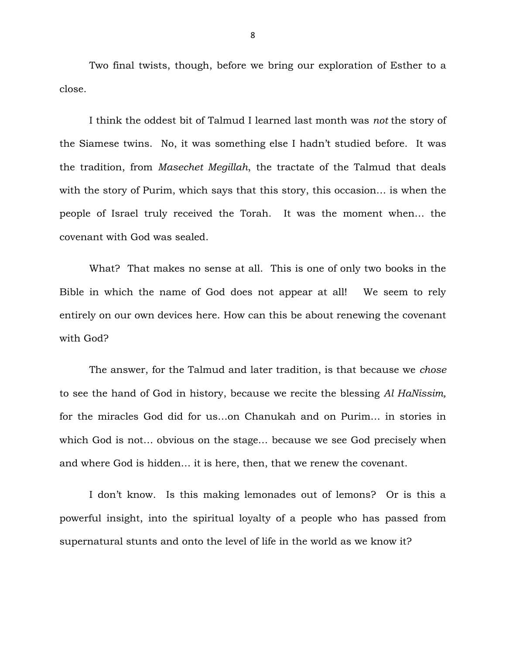Two final twists, though, before we bring our exploration of Esther to a close.

I think the oddest bit of Talmud I learned last month was *not* the story of the Siamese twins. No, it was something else I hadn't studied before. It was the tradition, from *Masechet Megillah*, the tractate of the Talmud that deals with the story of Purim, which says that this story, this occasion… is when the people of Israel truly received the Torah. It was the moment when… the covenant with God was sealed.

What? That makes no sense at all. This is one of only two books in the Bible in which the name of God does not appear at all! We seem to rely entirely on our own devices here. How can this be about renewing the covenant with God?

The answer, for the Talmud and later tradition, is that because we *chose*  to see the hand of God in history, because we recite the blessing *Al HaNissim,*  for the miracles God did for us…on Chanukah and on Purim… in stories in which God is not… obvious on the stage… because we see God precisely when and where God is hidden… it is here, then, that we renew the covenant.

I don't know. Is this making lemonades out of lemons? Or is this a powerful insight, into the spiritual loyalty of a people who has passed from supernatural stunts and onto the level of life in the world as we know it?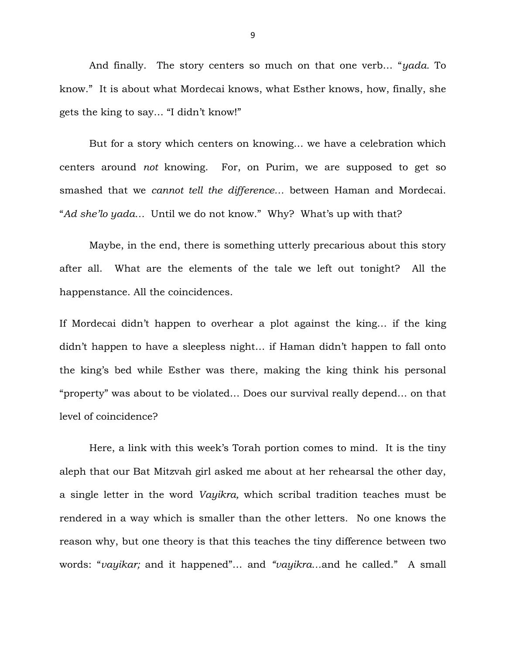And finally. The story centers so much on that one verb… "*yada.* To know." It is about what Mordecai knows, what Esther knows, how, finally, she gets the king to say… "I didn't know!"

But for a story which centers on knowing… we have a celebration which centers around *not* knowing. For, on Purim, we are supposed to get so smashed that we *cannot tell the difference…* between Haman and Mordecai. "*Ad she'lo yada…* Until we do not know." Why? What's up with that?

Maybe, in the end, there is something utterly precarious about this story after all. What are the elements of the tale we left out tonight? All the happenstance. All the coincidences.

If Mordecai didn't happen to overhear a plot against the king… if the king didn't happen to have a sleepless night… if Haman didn't happen to fall onto the king's bed while Esther was there, making the king think his personal "property" was about to be violated… Does our survival really depend… on that level of coincidence?

Here, a link with this week's Torah portion comes to mind. It is the tiny aleph that our Bat Mitzvah girl asked me about at her rehearsal the other day, a single letter in the word *Vayikra,* which scribal tradition teaches must be rendered in a way which is smaller than the other letters. No one knows the reason why, but one theory is that this teaches the tiny difference between two words: "*vayikar;* and it happened"… and *"vayikra…*and he called." A small